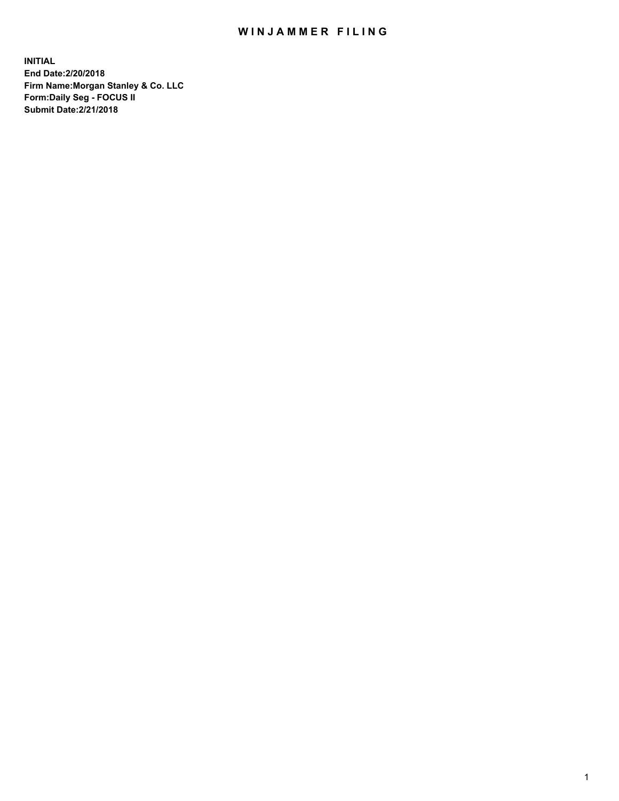## WIN JAMMER FILING

**INITIAL End Date:2/20/2018 Firm Name:Morgan Stanley & Co. LLC Form:Daily Seg - FOCUS II Submit Date:2/21/2018**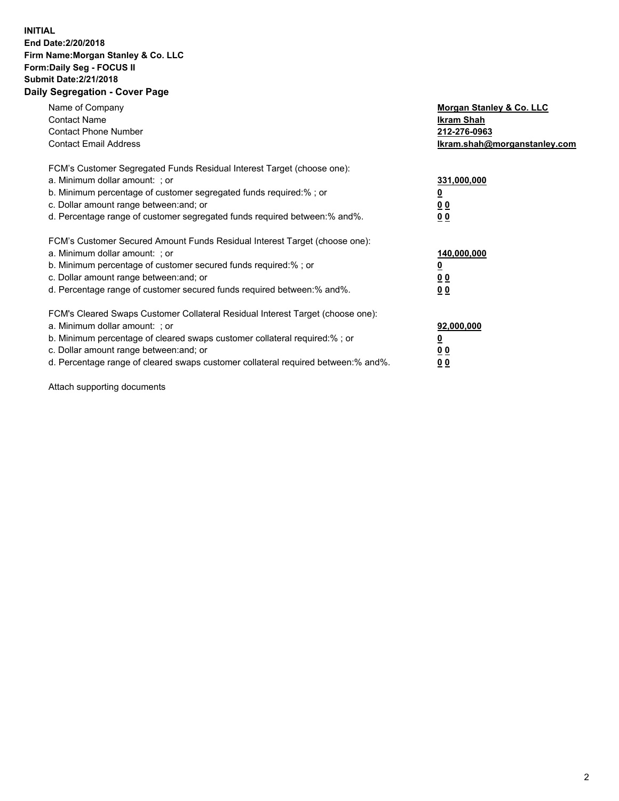## **INITIAL End Date:2/20/2018 Firm Name:Morgan Stanley & Co. LLC Form:Daily Seg - FOCUS II Submit Date:2/21/2018 Daily Segregation - Cover Page**

| Name of Company<br><b>Contact Name</b><br><b>Contact Phone Number</b><br><b>Contact Email Address</b>                                                                                                                                                                                                                         | Morgan Stanley & Co. LLC<br>Ikram Shah<br>212-276-0963<br>lkram.shah@morganstanley.com |
|-------------------------------------------------------------------------------------------------------------------------------------------------------------------------------------------------------------------------------------------------------------------------------------------------------------------------------|----------------------------------------------------------------------------------------|
| FCM's Customer Segregated Funds Residual Interest Target (choose one):<br>a. Minimum dollar amount: ; or<br>b. Minimum percentage of customer segregated funds required:%; or<br>c. Dollar amount range between: and; or<br>d. Percentage range of customer segregated funds required between:% and%.                         | 331,000,000<br>0 <sub>0</sub><br>00                                                    |
| FCM's Customer Secured Amount Funds Residual Interest Target (choose one):<br>a. Minimum dollar amount: ; or<br>b. Minimum percentage of customer secured funds required:%; or<br>c. Dollar amount range between: and; or<br>d. Percentage range of customer secured funds required between:% and%.                           | 140,000,000<br>0 <sub>0</sub><br>0 <sub>0</sub>                                        |
| FCM's Cleared Swaps Customer Collateral Residual Interest Target (choose one):<br>a. Minimum dollar amount: ; or<br>b. Minimum percentage of cleared swaps customer collateral required:%; or<br>c. Dollar amount range between: and; or<br>d. Percentage range of cleared swaps customer collateral required between:% and%. | 92,000,000<br>0 <sub>0</sub><br><u>00</u>                                              |

Attach supporting documents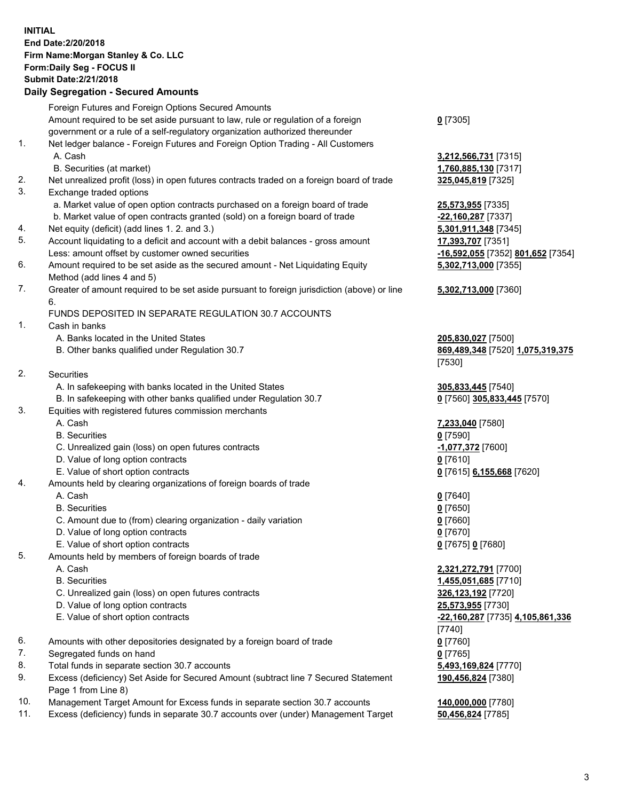## **INITIAL End Date:2/20/2018 Firm Name:Morgan Stanley & Co. LLC Form:Daily Seg - FOCUS II Submit Date:2/21/2018 Daily Segregation - Secured Amounts**

Foreign Futures and Foreign Options Secured Amounts Amount required to be set aside pursuant to law, rule or regulation of a foreign government or a rule of a self-regulatory organization authorized thereunder **0** [7305] 1. Net ledger balance - Foreign Futures and Foreign Option Trading - All Customers A. Cash **3,212,566,731** [7315] B. Securities (at market) **1,760,885,130** [7317] 2. Net unrealized profit (loss) in open futures contracts traded on a foreign board of trade **325,045,819** [7325] 3. Exchange traded options a. Market value of open option contracts purchased on a foreign board of trade **25,573,955** [7335] b. Market value of open contracts granted (sold) on a foreign board of trade **-22,160,287** [7337] 4. Net equity (deficit) (add lines 1. 2. and 3.) **5,301,911,348** [7345] 5. Account liquidating to a deficit and account with a debit balances - gross amount **17,393,707** [7351] Less: amount offset by customer owned securities **-16,592,055** [7352] **801,652** [7354] 6. Amount required to be set aside as the secured amount - Net Liquidating Equity Method (add lines 4 and 5) 7. Greater of amount required to be set aside pursuant to foreign jurisdiction (above) or line 6. FUNDS DEPOSITED IN SEPARATE REGULATION 30.7 ACCOUNTS 1. Cash in banks A. Banks located in the United States **205,830,027** [7500] B. Other banks qualified under Regulation 30.7 **869,489,348** [7520] **1,075,319,375** [7530] 2. Securities A. In safekeeping with banks located in the United States **305,833,445** [7540] B. In safekeeping with other banks qualified under Regulation 30.7 **0** [7560] **305,833,445** [7570] 3. Equities with registered futures commission merchants A. Cash **7,233,040** [7580] B. Securities **0** [7590] C. Unrealized gain (loss) on open futures contracts **-1,077,372** [7600] D. Value of long option contracts **0** [7610] E. Value of short option contracts **0** [7615] **6,155,668** [7620] 4. Amounts held by clearing organizations of foreign boards of trade A. Cash **0** [7640] B. Securities **0** [7650] C. Amount due to (from) clearing organization - daily variation **0** [7660] D. Value of long option contracts **0** [7670] E. Value of short option contracts **0** [7675] **0** [7680] 5. Amounts held by members of foreign boards of trade A. Cash **2,321,272,791** [7700] B. Securities **1,455,051,685** [7710] C. Unrealized gain (loss) on open futures contracts **326,123,192** [7720] D. Value of long option contracts **25,573,955** [7730] E. Value of short option contracts **-22,160,287** [7735] **4,105,861,336** [7740] 6. Amounts with other depositories designated by a foreign board of trade **0** [7760] 7. Segregated funds on hand **0** [7765] 8. Total funds in separate section 30.7 accounts **5,493,169,824** [7770]

- 
- 9. Excess (deficiency) Set Aside for Secured Amount (subtract line 7 Secured Statement Page 1 from Line 8)
- 10. Management Target Amount for Excess funds in separate section 30.7 accounts **140,000,000** [7780]
- 11. Excess (deficiency) funds in separate 30.7 accounts over (under) Management Target **50,456,824** [7785]

**5,302,713,000** [7355]

## **5,302,713,000** [7360]

**190,456,824** [7380]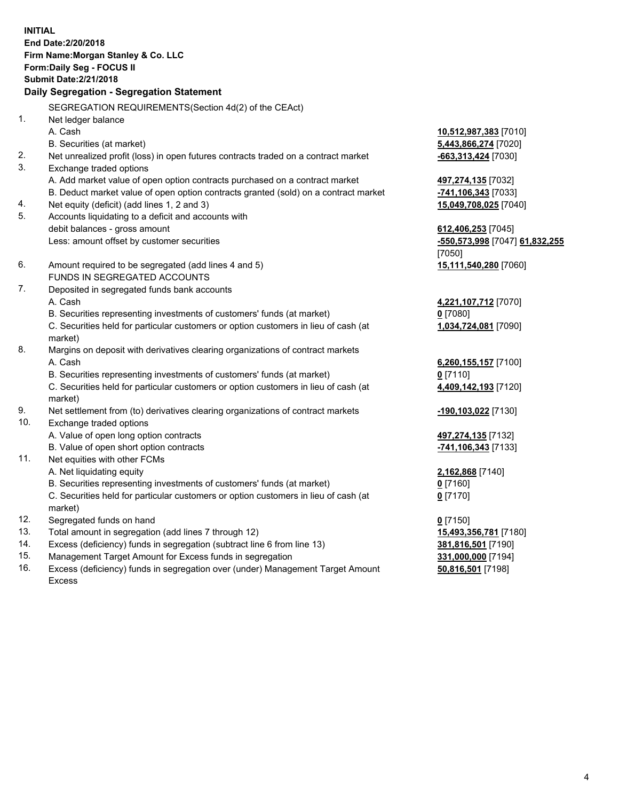**INITIAL End Date:2/20/2018 Firm Name:Morgan Stanley & Co. LLC Form:Daily Seg - FOCUS II Submit Date:2/21/2018 Daily Segregation - Segregation Statement** SEGREGATION REQUIREMENTS(Section 4d(2) of the CEAct) 1. Net ledger balance A. Cash **10,512,987,383** [7010] B. Securities (at market) **5,443,866,274** [7020] 2. Net unrealized profit (loss) in open futures contracts traded on a contract market **-663,313,424** [7030] 3. Exchange traded options A. Add market value of open option contracts purchased on a contract market **497,274,135** [7032] B. Deduct market value of open option contracts granted (sold) on a contract market **-741,106,343** [7033] 4. Net equity (deficit) (add lines 1, 2 and 3) **15,049,708,025** [7040] 5. Accounts liquidating to a deficit and accounts with debit balances - gross amount **612,406,253** [7045] Less: amount offset by customer securities **-550,573,998** [7047] **61,832,255** [7050] 6. Amount required to be segregated (add lines 4 and 5) **15,111,540,280** [7060] FUNDS IN SEGREGATED ACCOUNTS 7. Deposited in segregated funds bank accounts A. Cash **4,221,107,712** [7070] B. Securities representing investments of customers' funds (at market) **0** [7080] C. Securities held for particular customers or option customers in lieu of cash (at market) **1,034,724,081** [7090] 8. Margins on deposit with derivatives clearing organizations of contract markets A. Cash **6,260,155,157** [7100] B. Securities representing investments of customers' funds (at market) **0** [7110] C. Securities held for particular customers or option customers in lieu of cash (at market) **4,409,142,193** [7120] 9. Net settlement from (to) derivatives clearing organizations of contract markets **-190,103,022** [7130] 10. Exchange traded options A. Value of open long option contracts **497,274,135** [7132] B. Value of open short option contracts **-741,106,343** [7133] 11. Net equities with other FCMs A. Net liquidating equity **2,162,868** [7140] B. Securities representing investments of customers' funds (at market) **0** [7160] C. Securities held for particular customers or option customers in lieu of cash (at market) **0** [7170] 12. Segregated funds on hand **0** [7150] 13. Total amount in segregation (add lines 7 through 12) **15,493,356,781** [7180] 14. Excess (deficiency) funds in segregation (subtract line 6 from line 13) **381,816,501** [7190] 15. Management Target Amount for Excess funds in segregation **331,000,000** [7194]

16. Excess (deficiency) funds in segregation over (under) Management Target Amount Excess

**50,816,501** [7198]